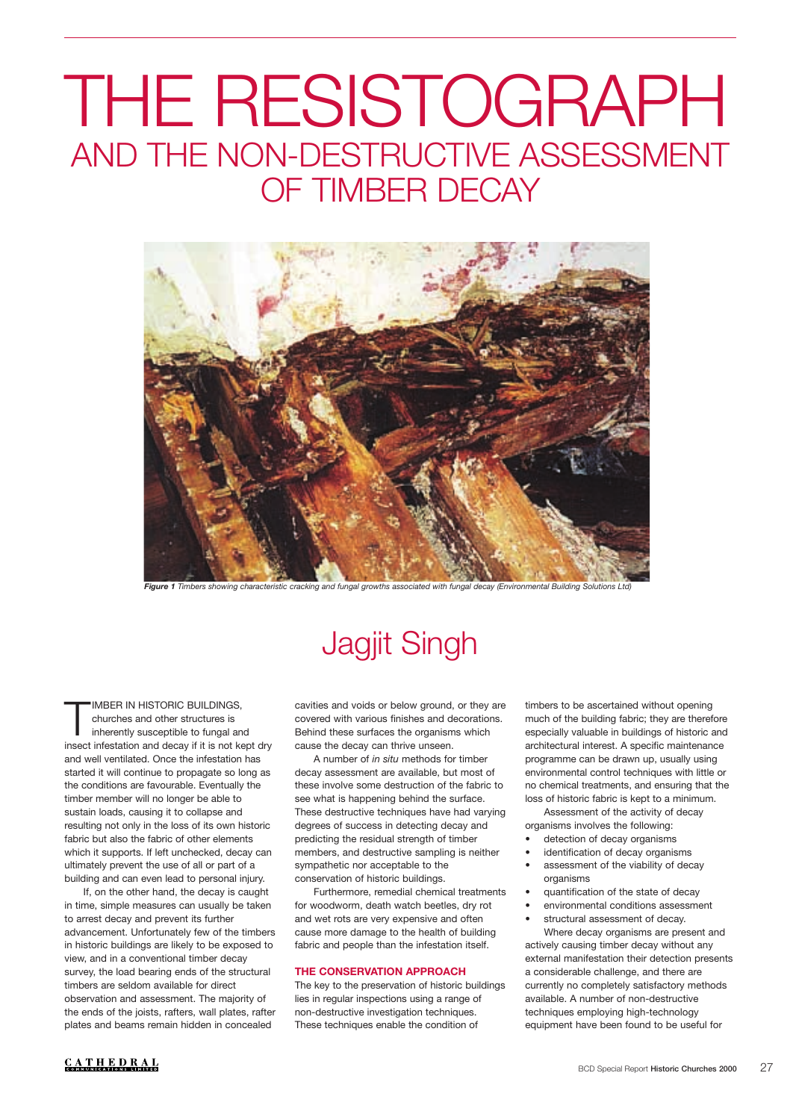# AND THE NON-DESTRUCTIVE ASSESSMENT OF TIMBER DECAY THE RESISTOGRAPH



*Figure 1 Timbers showing characteristic cracking and fungal growths associated with fungal decay (Environmental Building Solutions Ltd)*

# Jagjit Singh

IMBER IN HISTORIC BUILDINGS, churches and other structures is inherently susceptible to fungal and insect infestation and decay if it is not kept dry and well ventilated. Once the infestation has started it will continue to propagate so long as the conditions are favourable. Eventually the timber member will no longer be able to sustain loads, causing it to collapse and resulting not only in the loss of its own historic fabric but also the fabric of other elements which it supports. If left unchecked, decay can ultimately prevent the use of all or part of a building and can even lead to personal injury.

If, on the other hand, the decay is caught in time, simple measures can usually be taken to arrest decay and prevent its further advancement. Unfortunately few of the timbers in historic buildings are likely to be exposed to view, and in a conventional timber decay survey, the load bearing ends of the structural timbers are seldom available for direct observation and assessment. The majority of the ends of the joists, rafters, wall plates, rafter plates and beams remain hidden in concealed

cavities and voids or below ground, or they are covered with various finishes and decorations. Behind these surfaces the organisms which cause the decay can thrive unseen.

A number of *in situ* methods for timber decay assessment are available, but most of these involve some destruction of the fabric to see what is happening behind the surface. These destructive techniques have had varying degrees of success in detecting decay and predicting the residual strength of timber members, and destructive sampling is neither sympathetic nor acceptable to the conservation of historic buildings.

Furthermore, remedial chemical treatments for woodworm, death watch beetles, dry rot and wet rots are very expensive and often cause more damage to the health of building fabric and people than the infestation itself.

### **THE CONSERVATION APPROACH**

The key to the preservation of historic buildings lies in regular inspections using a range of non-destructive investigation techniques. These techniques enable the condition of

timbers to be ascertained without opening much of the building fabric; they are therefore especially valuable in buildings of historic and architectural interest. A specific maintenance programme can be drawn up, usually using environmental control techniques with little or no chemical treatments, and ensuring that the loss of historic fabric is kept to a minimum.

Assessment of the activity of decay organisms involves the following:

- detection of decay organisms identification of decay organisms
- assessment of the viability of decay organisms
- quantification of the state of decay
- environmental conditions assessment
- structural assessment of decay.

Where decay organisms are present and actively causing timber decay without any external manifestation their detection presents a considerable challenge, and there are currently no completely satisfactory methods available. A number of non-destructive techniques employing high-technology equipment have been found to be useful for